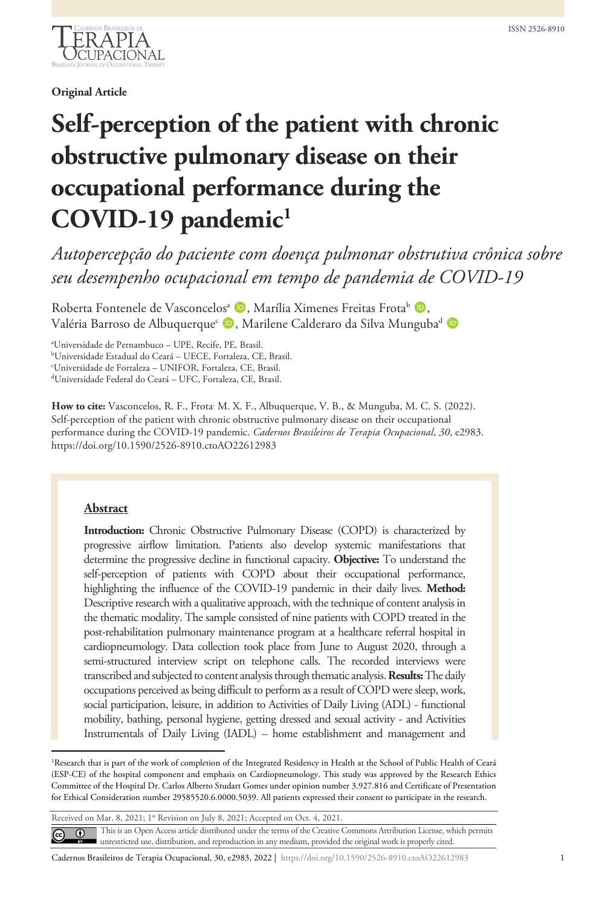

## **Original Article**

# **Self-perception of the patient with chronic obstructive pulmonary disease on their occupational performance during the COVID-19 pandemic[1](#page-9-0)**

*Autopercepção do paciente com doença pulmonar obstrutiva crônica sobre seu desempenho ocupacional em tempo de pandemia de COVID-19*

Roberta Fontenele de Vasconcelos<sup>a</sup> (D, Marília Ximenes Freitas Frota<sup>b</sup> (D, Valéria Barroso de Albuquerque<sup>c</sup> D, Marilene Calderaro da Silva Munguba<sup>d</sup> D

a Universidade de Pernambuco – UPE, Recife, PE, Brasil.

b Universidade Estadual do Ceará – UECE, Fortaleza, CE, Brasil.

c Universidade de Fortaleza – UNIFOR, Fortaleza, CE, Brasil.

d Universidade Federal do Ceará – UFC, Fortaleza, CE, Brasil.

How to cite: Vasconcelos, R. F., Frota<sup>,</sup> M. X. F., Albuquerque, V. B., & Munguba, M. C. S. (2022). Self-perception of the patient with chronic obstructive pulmonary disease on their occupational performance during the COVID-19 pandemic. *Cadernos Brasileiros de Terapia Ocupacional*, *30*, e2983. https://doi.org/10.1590/2526-8910.ctoAO22612983

## **Abstract**

**Introduction:** Chronic Obstructive Pulmonary Disease (COPD) is characterized by progressive airflow limitation. Patients also develop systemic manifestations that determine the progressive decline in functional capacity. **Objective:** To understand the self-perception of patients with COPD about their occupational performance, highlighting the influence of the COVID-19 pandemic in their daily lives. **Method:** Descriptive research with a qualitative approach, with the technique of content analysis in the thematic modality. The sample consisted of nine patients with COPD treated in the post-rehabilitation pulmonary maintenance program at a healthcare referral hospital in cardiopneumology. Data collection took place from June to August 2020, through a semi-structured interview script on telephone calls. The recorded interviews were transcribed and subjected to content analysis through thematic analysis. **Results:**The daily occupations perceived as being difficult to perform as a result of COPD were sleep, work, social participation, leisure, in addition to Activities of Daily Living (ADL) - functional mobility, bathing, personal hygiene, getting dressed and sexual activity - and Activities Instrumentals of Daily Living (IADL) – home establishment and management and

<sup>1</sup>Research that is part of the work of completion of the Integrated Residency in Health at the School of Public Health of Ceará (ESP-CE) of the hospital component and emphasis on Cardiopneumology. This study was approved by the Research Ethics Committee of the Hospital Dr. Carlos Alberto Studart Gomes under opinion number 3.927.816 and Certificate of Presentation for Ethical Consideration number 29585520.6.0000.5039. All patients expressed their consent to participate in the research.

Received on Mar. 8, 2021; 1st Revision on July 8, 2021; Accepted on Oct. 4, 2021.

This is an Open Access article distributed under the terms of the Creative Commons Attribution License, which permits  $\odot$  $\odot$ unrestricted use, distribution, and reproduction in any medium, provided the original work is properly cited.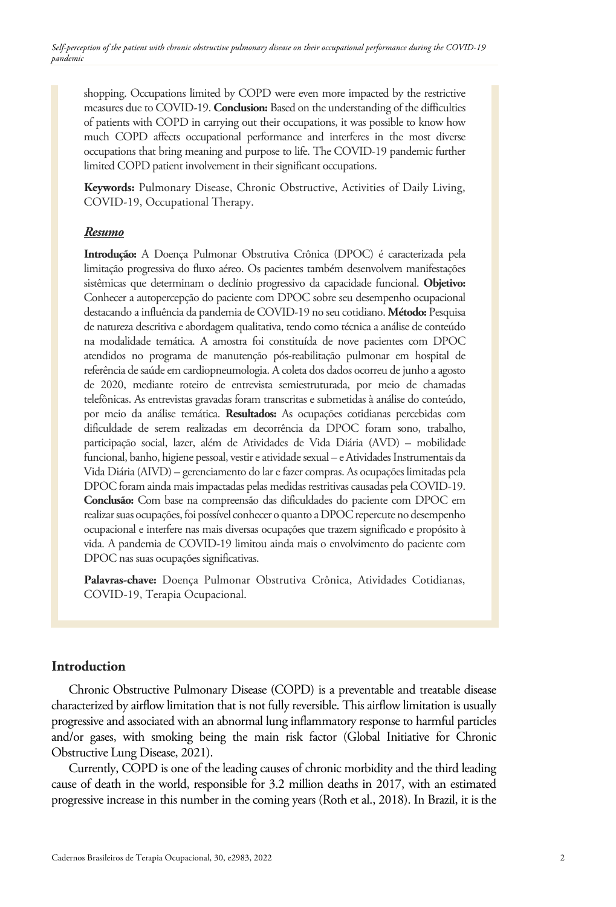shopping. Occupations limited by COPD were even more impacted by the restrictive measures due to COVID-19. **Conclusion:** Based on the understanding of the difficulties of patients with COPD in carrying out their occupations, it was possible to know how much COPD affects occupational performance and interferes in the most diverse occupations that bring meaning and purpose to life. The COVID-19 pandemic further limited COPD patient involvement in their significant occupations.

**Keywords:** Pulmonary Disease, Chronic Obstructive, Activities of Daily Living, COVID-19, Occupational Therapy.

## *Resumo*

**Introdução:** A Doença Pulmonar Obstrutiva Crônica (DPOC) é caracterizada pela limitação progressiva do fluxo aéreo. Os pacientes também desenvolvem manifestações sistêmicas que determinam o declínio progressivo da capacidade funcional. **Objetivo:** Conhecer a autopercepção do paciente com DPOC sobre seu desempenho ocupacional destacando a influência da pandemia de COVID-19 no seu cotidiano. **Método:** Pesquisa de natureza descritiva e abordagem qualitativa, tendo como técnica a análise de conteúdo na modalidade temática. A amostra foi constituída de nove pacientes com DPOC atendidos no programa de manutenção pós-reabilitação pulmonar em hospital de referência de saúde em cardiopneumologia. A coleta dos dados ocorreu de junho a agosto de 2020, mediante roteiro de entrevista semiestruturada, por meio de chamadas telefônicas. As entrevistas gravadas foram transcritas e submetidas à análise do conteúdo, por meio da análise temática. **Resultados:** As ocupações cotidianas percebidas com dificuldade de serem realizadas em decorrência da DPOC foram sono, trabalho, participação social, lazer, além de Atividades de Vida Diária (AVD) – mobilidade funcional, banho, higiene pessoal, vestir e atividade sexual – e Atividades Instrumentais da Vida Diária (AIVD) – gerenciamento do lar e fazer compras. As ocupações limitadas pela DPOC foram ainda mais impactadas pelas medidas restritivas causadas pela COVID-19. **Conclusão:** Com base na compreensão das dificuldades do paciente com DPOC em realizar suas ocupações, foi possível conhecer o quanto a DPOC repercute no desempenho ocupacional e interfere nas mais diversas ocupações que trazem significado e propósito à vida. A pandemia de COVID-19 limitou ainda mais o envolvimento do paciente com DPOC nas suas ocupações significativas.

**Palavras-chave:** Doença Pulmonar Obstrutiva Crônica, Atividades Cotidianas, COVID-19, Terapia Ocupacional.

## **Introduction**

Chronic Obstructive Pulmonary Disease (COPD) is a preventable and treatable disease characterized by airflow limitation that is not fully reversible. This airflow limitation is usually progressive and associated with an abnormal lung inflammatory response to harmful particles and/or gases, with smoking being the main risk factor (Global Initiative for Chronic Obstructive Lung Disease, 2021).

Currently, COPD is one of the leading causes of chronic morbidity and the third leading cause of death in the world, responsible for 3.2 million deaths in 2017, with an estimated progressive increase in this number in the coming years (Roth et al., 2018). In Brazil, it is the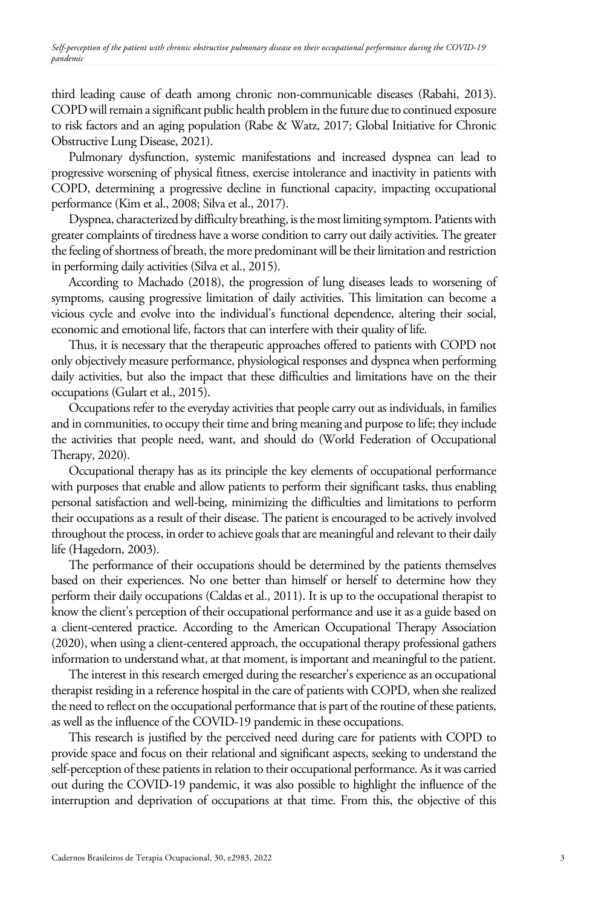third leading cause of death among chronic non-communicable diseases (Rabahi, 2013). COPD will remain a significant public health problem in the future due to continued exposure to risk factors and an aging population (Rabe & Watz, 2017; Global Initiative for Chronic Obstructive Lung Disease, 2021).

Pulmonary dysfunction, systemic manifestations and increased dyspnea can lead to progressive worsening of physical fitness, exercise intolerance and inactivity in patients with COPD, determining a progressive decline in functional capacity, impacting occupational performance (Kim et al., 2008; Silva et al., 2017).

Dyspnea, characterized by difficulty breathing, is the most limiting symptom. Patients with greater complaints of tiredness have a worse condition to carry out daily activities. The greater the feeling of shortness of breath, the more predominant will be their limitation and restriction in performing daily activities (Silva et al., 2015).

According to Machado (2018), the progression of lung diseases leads to worsening of symptoms, causing progressive limitation of daily activities. This limitation can become a vicious cycle and evolve into the individual's functional dependence, altering their social, economic and emotional life, factors that can interfere with their quality of life.

Thus, it is necessary that the therapeutic approaches offered to patients with COPD not only objectively measure performance, physiological responses and dyspnea when performing daily activities, but also the impact that these difficulties and limitations have on the their occupations (Gulart et al., 2015).

Occupations refer to the everyday activities that people carry out as individuals, in families and in communities, to occupy their time and bring meaning and purpose to life; they include the activities that people need, want, and should do (World Federation of Occupational Therapy, 2020).

Occupational therapy has as its principle the key elements of occupational performance with purposes that enable and allow patients to perform their significant tasks, thus enabling personal satisfaction and well-being, minimizing the difficulties and limitations to perform their occupations as a result of their disease. The patient is encouraged to be actively involved throughout the process, in order to achieve goals that are meaningful and relevant to their daily life (Hagedorn, 2003).

The performance of their occupations should be determined by the patients themselves based on their experiences. No one better than himself or herself to determine how they perform their daily occupations (Caldas et al., 2011). It is up to the occupational therapist to know the client's perception of their occupational performance and use it as a guide based on a client-centered practice. According to the American Occupational Therapy Association (2020), when using a client-centered approach, the occupational therapy professional gathers information to understand what, at that moment, is important and meaningful to the patient.

The interest in this research emerged during the researcher's experience as an occupational therapist residing in a reference hospital in the care of patients with COPD, when she realized the need to reflect on the occupational performance that is part of the routine of these patients, as well as the influence of the COVID-19 pandemic in these occupations.

This research is justified by the perceived need during care for patients with COPD to provide space and focus on their relational and significant aspects, seeking to understand the self-perception of these patients in relation to their occupational performance. As it was carried out during the COVID-19 pandemic, it was also possible to highlight the influence of the interruption and deprivation of occupations at that time. From this, the objective of this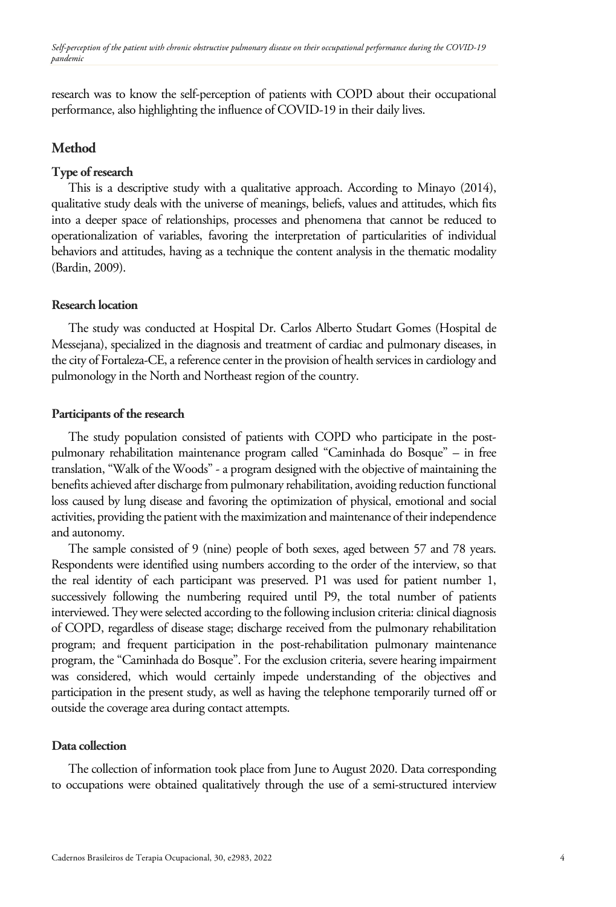research was to know the self-perception of patients with COPD about their occupational performance, also highlighting the influence of COVID-19 in their daily lives.

# **Method**

## **Type of research**

This is a descriptive study with a qualitative approach. According to Minayo (2014), qualitative study deals with the universe of meanings, beliefs, values and attitudes, which fits into a deeper space of relationships, processes and phenomena that cannot be reduced to operationalization of variables, favoring the interpretation of particularities of individual behaviors and attitudes, having as a technique the content analysis in the thematic modality (Bardin, 2009).

## **Research location**

The study was conducted at Hospital Dr. Carlos Alberto Studart Gomes (Hospital de Messejana), specialized in the diagnosis and treatment of cardiac and pulmonary diseases, in the city of Fortaleza-CE, a reference center in the provision of health services in cardiology and pulmonology in the North and Northeast region of the country.

#### **Participants of the research**

The study population consisted of patients with COPD who participate in the postpulmonary rehabilitation maintenance program called "Caminhada do Bosque" – in free translation, "Walk of the Woods" - a program designed with the objective of maintaining the benefits achieved after discharge from pulmonary rehabilitation, avoiding reduction functional loss caused by lung disease and favoring the optimization of physical, emotional and social activities, providing the patient with the maximization and maintenance of their independence and autonomy.

The sample consisted of 9 (nine) people of both sexes, aged between 57 and 78 years. Respondents were identified using numbers according to the order of the interview, so that the real identity of each participant was preserved. P1 was used for patient number 1, successively following the numbering required until P9, the total number of patients interviewed. They were selected according to the following inclusion criteria: clinical diagnosis of COPD, regardless of disease stage; discharge received from the pulmonary rehabilitation program; and frequent participation in the post-rehabilitation pulmonary maintenance program, the "Caminhada do Bosque". For the exclusion criteria, severe hearing impairment was considered, which would certainly impede understanding of the objectives and participation in the present study, as well as having the telephone temporarily turned off or outside the coverage area during contact attempts.

## **Data collection**

The collection of information took place from June to August 2020. Data corresponding to occupations were obtained qualitatively through the use of a semi-structured interview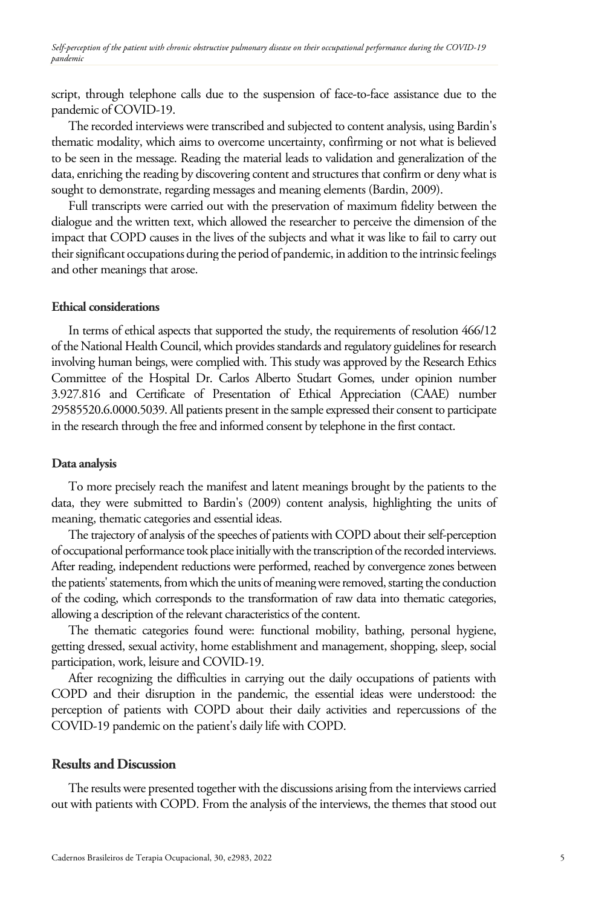script, through telephone calls due to the suspension of face-to-face assistance due to the pandemic of COVID-19.

The recorded interviews were transcribed and subjected to content analysis, using Bardin's thematic modality, which aims to overcome uncertainty, confirming or not what is believed to be seen in the message. Reading the material leads to validation and generalization of the data, enriching the reading by discovering content and structures that confirm or deny what is sought to demonstrate, regarding messages and meaning elements (Bardin, 2009).

Full transcripts were carried out with the preservation of maximum fidelity between the dialogue and the written text, which allowed the researcher to perceive the dimension of the impact that COPD causes in the lives of the subjects and what it was like to fail to carry out their significant occupations during the period of pandemic, in addition to the intrinsic feelings and other meanings that arose.

#### **Ethical considerations**

In terms of ethical aspects that supported the study, the requirements of resolution 466/12 of the National Health Council, which provides standards and regulatory guidelines for research involving human beings, were complied with. This study was approved by the Research Ethics Committee of the Hospital Dr. Carlos Alberto Studart Gomes, under opinion number 3.927.816 and Certificate of Presentation of Ethical Appreciation (CAAE) number 29585520.6.0000.5039. All patients present in the sample expressed their consent to participate in the research through the free and informed consent by telephone in the first contact.

#### **Data analysis**

To more precisely reach the manifest and latent meanings brought by the patients to the data, they were submitted to Bardin's (2009) content analysis, highlighting the units of meaning, thematic categories and essential ideas.

The trajectory of analysis of the speeches of patients with COPD about their self-perception of occupational performance took place initially with the transcription of the recorded interviews. After reading, independent reductions were performed, reached by convergence zones between the patients' statements, from which the units of meaning were removed, starting the conduction of the coding, which corresponds to the transformation of raw data into thematic categories, allowing a description of the relevant characteristics of the content.

The thematic categories found were: functional mobility, bathing, personal hygiene, getting dressed, sexual activity, home establishment and management, shopping, sleep, social participation, work, leisure and COVID-19.

After recognizing the difficulties in carrying out the daily occupations of patients with COPD and their disruption in the pandemic, the essential ideas were understood: the perception of patients with COPD about their daily activities and repercussions of the COVID-19 pandemic on the patient's daily life with COPD.

## **Results and Discussion**

The results were presented together with the discussions arising from the interviews carried out with patients with COPD. From the analysis of the interviews, the themes that stood out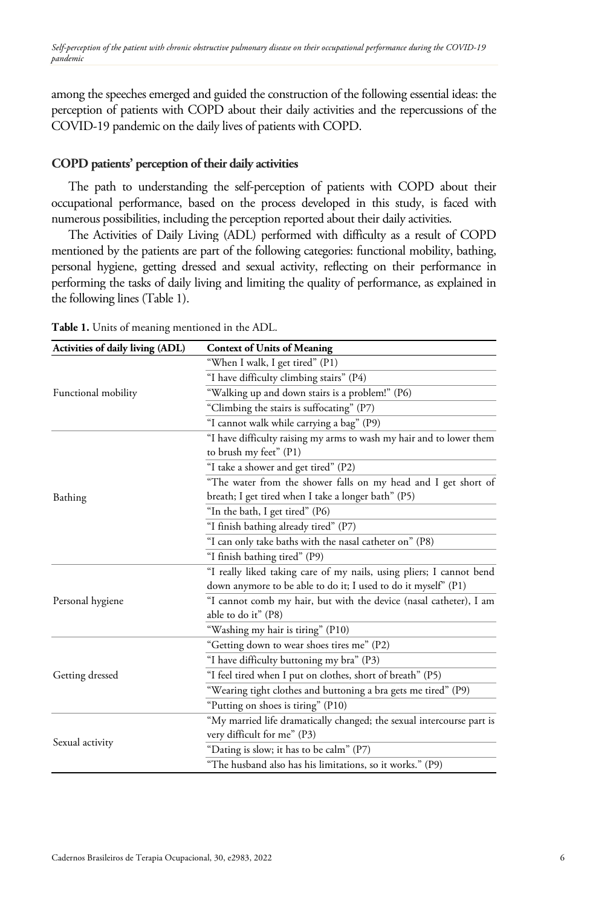among the speeches emerged and guided the construction of the following essential ideas: the perception of patients with COPD about their daily activities and the repercussions of the COVID-19 pandemic on the daily lives of patients with COPD.

## **COPD patients' perception of their daily activities**

The path to understanding the self-perception of patients with COPD about their occupational performance, based on the process developed in this study, is faced with numerous possibilities, including the perception reported about their daily activities.

The Activities of Daily Living (ADL) performed with difficulty as a result of COPD mentioned by the patients are part of the following categories: functional mobility, bathing, personal hygiene, getting dressed and sexual activity, reflecting on their performance in performing the tasks of daily living and limiting the quality of performance, as explained in the following lines (Table 1).

| Activities of daily living (ADL) | <b>Context of Units of Meaning</b>                                                                                    |
|----------------------------------|-----------------------------------------------------------------------------------------------------------------------|
|                                  | "When I walk, I get tired" (P1)                                                                                       |
|                                  | "I have difficulty climbing stairs" (P4)                                                                              |
| Functional mobility              | "Walking up and down stairs is a problem!" (P6)                                                                       |
|                                  | "Climbing the stairs is suffocating" (P7)                                                                             |
|                                  | "I cannot walk while carrying a bag" (P9)                                                                             |
|                                  | "I have difficulty raising my arms to wash my hair and to lower them<br>to brush my feet" (P1)                        |
|                                  | "I take a shower and get tired" (P2)                                                                                  |
| Bathing                          | "The water from the shower falls on my head and I get short of<br>breath; I get tired when I take a longer bath" (P5) |
|                                  | "In the bath, I get tired" (P6)                                                                                       |
|                                  | "I finish bathing already tired" (P7)                                                                                 |
|                                  | "I can only take baths with the nasal catheter on" (P8)                                                               |
|                                  | "I finish bathing tired" (P9)                                                                                         |
|                                  | "I really liked taking care of my nails, using pliers; I cannot bend                                                  |
|                                  | down anymore to be able to do it; I used to do it myself" (P1)                                                        |
| Personal hygiene                 | "I cannot comb my hair, but with the device (nasal catheter), I am<br>able to do it" (P8)                             |
|                                  | "Washing my hair is tiring" (P10)                                                                                     |
|                                  | "Getting down to wear shoes tires me" (P2)                                                                            |
|                                  | "I have difficulty buttoning my bra" (P3)                                                                             |
| Getting dressed                  | "I feel tired when I put on clothes, short of breath" (P5)                                                            |
|                                  | "Wearing tight clothes and buttoning a bra gets me tired" (P9)                                                        |
|                                  | "Putting on shoes is tiring" (P10)                                                                                    |
|                                  | "My married life dramatically changed; the sexual intercourse part is<br>very difficult for me" (P3)                  |
| Sexual activity                  | "Dating is slow; it has to be calm" (P7)                                                                              |
|                                  | "The husband also has his limitations, so it works." (P9)                                                             |

**Table 1.** Units of meaning mentioned in the ADL.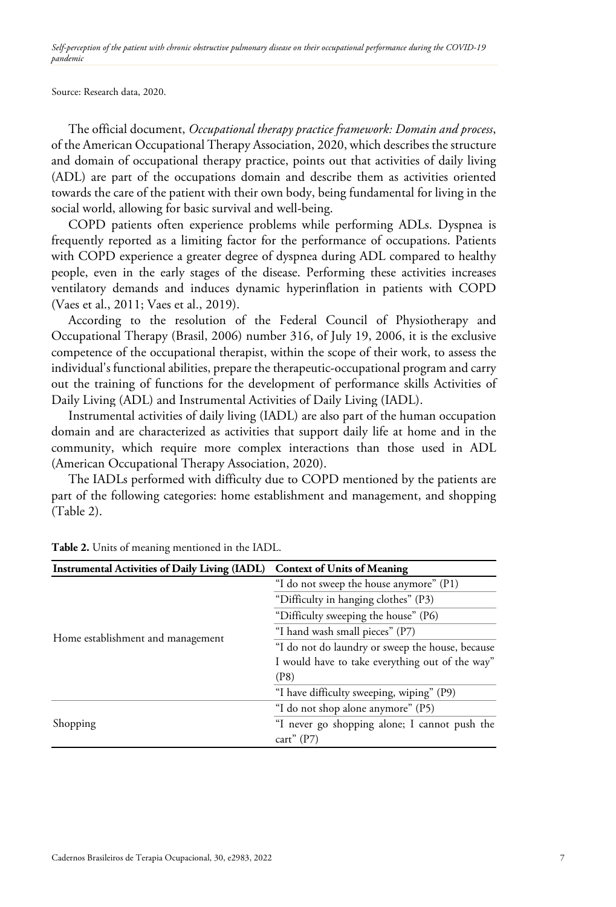Source: Research data, 2020.

The official document, *Occupational therapy practice framework: Domain and process*, of the American Occupational Therapy Association, 2020, which describes the structure and domain of occupational therapy practice, points out that activities of daily living (ADL) are part of the occupations domain and describe them as activities oriented towards the care of the patient with their own body, being fundamental for living in the social world, allowing for basic survival and well-being.

COPD patients often experience problems while performing ADLs. Dyspnea is frequently reported as a limiting factor for the performance of occupations. Patients with COPD experience a greater degree of dyspnea during ADL compared to healthy people, even in the early stages of the disease. Performing these activities increases ventilatory demands and induces dynamic hyperinflation in patients with COPD (Vaes et al., 2011; Vaes et al., 2019).

According to the resolution of the Federal Council of Physiotherapy and Occupational Therapy (Brasil, 2006) number 316, of July 19, 2006, it is the exclusive competence of the occupational therapist, within the scope of their work, to assess the individual's functional abilities, prepare the therapeutic-occupational program and carry out the training of functions for the development of performance skills Activities of Daily Living (ADL) and Instrumental Activities of Daily Living (IADL).

Instrumental activities of daily living (IADL) are also part of the human occupation domain and are characterized as activities that support daily life at home and in the community, which require more complex interactions than those used in ADL (American Occupational Therapy Association, 2020).

The IADLs performed with difficulty due to COPD mentioned by the patients are part of the following categories: home establishment and management, and shopping (Table 2).

| <b>Instrumental Activities of Daily Living (IADL)</b> | <b>Context of Units of Meaning</b>               |
|-------------------------------------------------------|--------------------------------------------------|
|                                                       | "I do not sweep the house anymore" (P1)          |
|                                                       | "Difficulty in hanging clothes" (P3)             |
|                                                       | "Difficulty sweeping the house" (P6)             |
| Home establishment and management                     | "I hand wash small pieces" (P7)                  |
|                                                       | "I do not do laundry or sweep the house, because |
|                                                       | I would have to take everything out of the way"  |
|                                                       | (P8)                                             |
|                                                       | "I have difficulty sweeping, wiping" (P9)        |
|                                                       | "I do not shop alone anymore" (P5)               |
| Shopping                                              | "I never go shopping alone; I cannot push the    |
|                                                       | cart" $(P7)$                                     |

|  |  |  |  |  |  | <b>Table 2.</b> Units of meaning mentioned in the IADL. |  |  |  |
|--|--|--|--|--|--|---------------------------------------------------------|--|--|--|
|--|--|--|--|--|--|---------------------------------------------------------|--|--|--|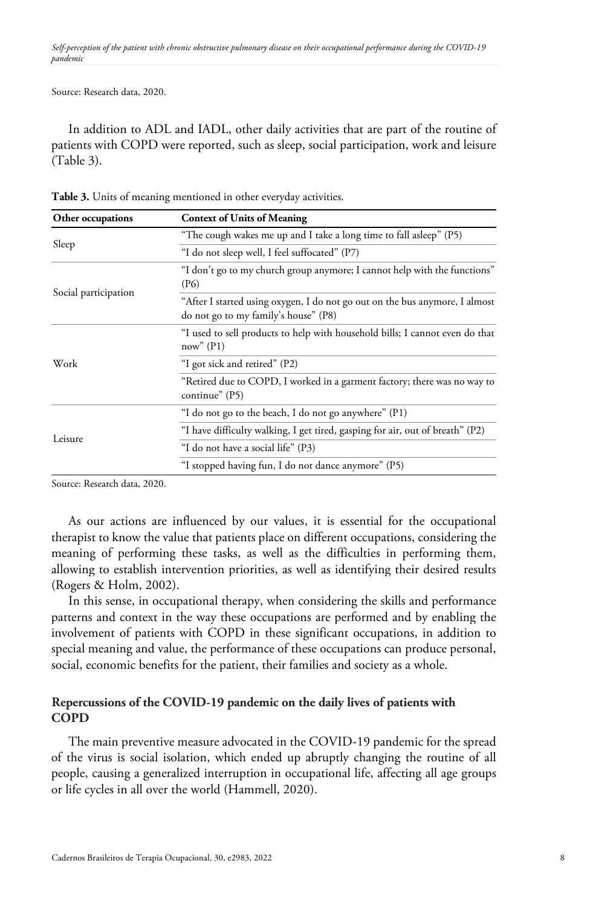Source: Research data, 2020.

In addition to ADL and IADL, other daily activities that are part of the routine of patients with COPD were reported, such as sleep, social participation, work and leisure (Table 3).

| Other occupations    | <b>Context of Units of Meaning</b>                                                                                  |
|----------------------|---------------------------------------------------------------------------------------------------------------------|
|                      | "The cough wakes me up and I take a long time to fall asleep" (P5)                                                  |
| Sleep                | "I do not sleep well, I feel suffocated" (P7)                                                                       |
| Social participation | "I don't go to my church group anymore; I cannot help with the functions"<br>(P <sub>6</sub> )                      |
|                      | "After I started using oxygen, I do not go out on the bus anymore, I almost<br>do not go to my family's house" (P8) |
| Work                 | "I used to sell products to help with household bills; I cannot even do that<br>now''(P1)                           |
|                      | "I got sick and retired" (P2)                                                                                       |
|                      | "Retired due to COPD, I worked in a garment factory; there was no way to<br>continue" (P5)                          |
| Leisure              | "I do not go to the beach, I do not go anywhere" (P1)                                                               |
|                      | "I have difficulty walking, I get tired, gasping for air, out of breath" (P2)                                       |
|                      | "I do not have a social life" (P3)                                                                                  |
|                      | "I stopped having fun, I do not dance anymore" (P5)                                                                 |

**Table 3.** Units of meaning mentioned in other everyday activities.

Source: Research data, 2020.

As our actions are influenced by our values, it is essential for the occupational therapist to know the value that patients place on different occupations, considering the meaning of performing these tasks, as well as the difficulties in performing them, allowing to establish intervention priorities, as well as identifying their desired results (Rogers & Holm, 2002).

In this sense, in occupational therapy, when considering the skills and performance patterns and context in the way these occupations are performed and by enabling the involvement of patients with COPD in these significant occupations, in addition to special meaning and value, the performance of these occupations can produce personal, social, economic benefits for the patient, their families and society as a whole.

# **Repercussions of the COVID-19 pandemic on the daily lives of patients with COPD**

The main preventive measure advocated in the COVID-19 pandemic for the spread of the virus is social isolation, which ended up abruptly changing the routine of all people, causing a generalized interruption in occupational life, affecting all age groups or life cycles in all over the world (Hammell, 2020).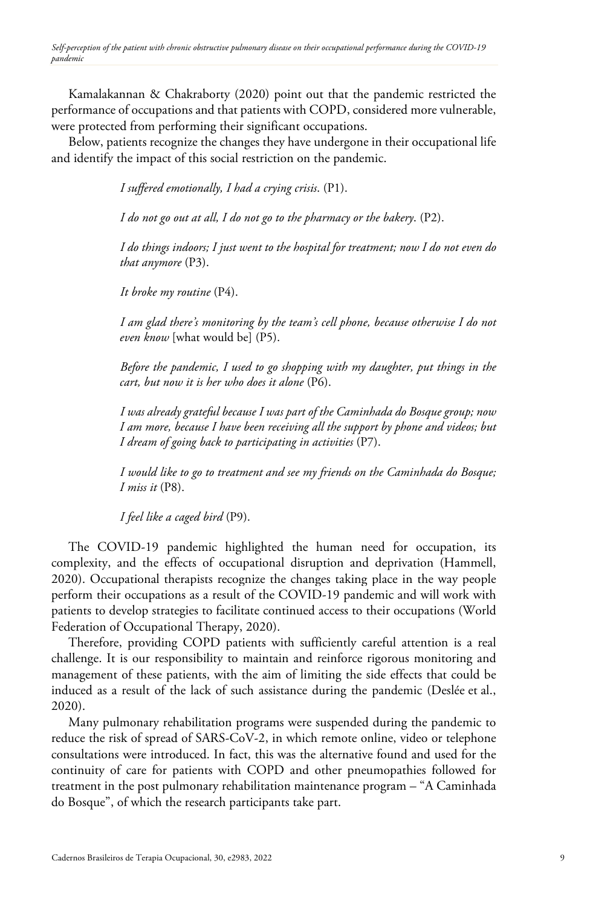Kamalakannan & Chakraborty (2020) point out that the pandemic restricted the performance of occupations and that patients with COPD, considered more vulnerable, were protected from performing their significant occupations.

Below, patients recognize the changes they have undergone in their occupational life and identify the impact of this social restriction on the pandemic.

*I suffered emotionally, I had a crying crisis*. (P1).

*I do not go out at all, I do not go to the pharmacy or the bakery*. (P2).

*I do things indoors; I just went to the hospital for treatment; now I do not even do that anymore* (P3).

*It broke my routine* (P4).

*I am glad there's monitoring by the team's cell phone, because otherwise I do not even know* [what would be] (P5).

*Before the pandemic, I used to go shopping with my daughter, put things in the cart, but now it is her who does it alone* (P6).

*I was already grateful because I was part of the Caminhada do Bosque group; now I am more, because I have been receiving all the support by phone and videos; but I dream of going back to participating in activities* (P7).

*I would like to go to treatment and see my friends on the Caminhada do Bosque; I miss it* (P8).

*I feel like a caged bird* (P9).

The COVID-19 pandemic highlighted the human need for occupation, its complexity, and the effects of occupational disruption and deprivation (Hammell, 2020). Occupational therapists recognize the changes taking place in the way people perform their occupations as a result of the COVID-19 pandemic and will work with patients to develop strategies to facilitate continued access to their occupations (World Federation of Occupational Therapy, 2020).

Therefore, providing COPD patients with sufficiently careful attention is a real challenge. It is our responsibility to maintain and reinforce rigorous monitoring and management of these patients, with the aim of limiting the side effects that could be induced as a result of the lack of such assistance during the pandemic (Deslée et al., 2020).

Many pulmonary rehabilitation programs were suspended during the pandemic to reduce the risk of spread of SARS-CoV-2, in which remote online, video or telephone consultations were introduced. In fact, this was the alternative found and used for the continuity of care for patients with COPD and other pneumopathies followed for treatment in the post pulmonary rehabilitation maintenance program – "A Caminhada do Bosque", of which the research participants take part.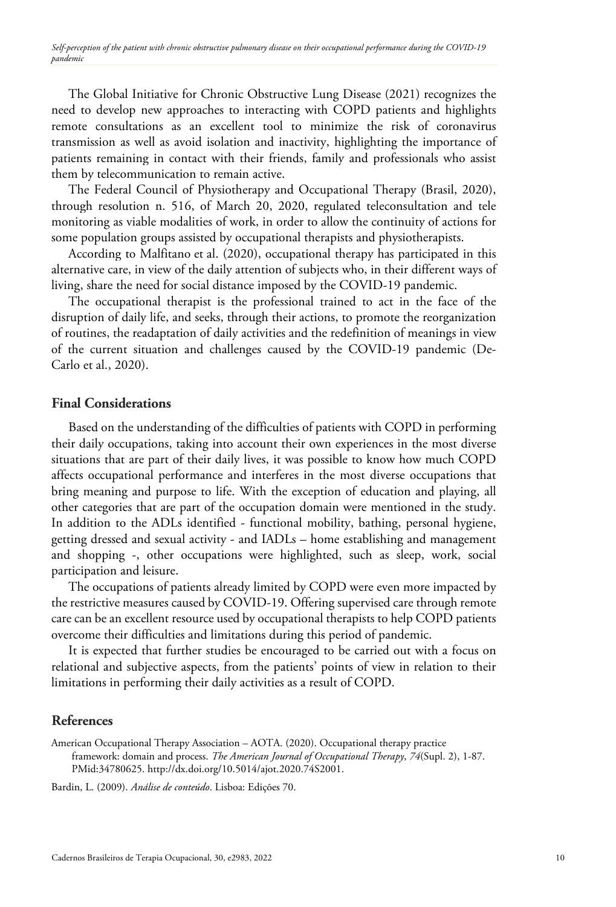The Global Initiative for Chronic Obstructive Lung Disease (2021) recognizes the need to develop new approaches to interacting with COPD patients and highlights remote consultations as an excellent tool to minimize the risk of coronavirus transmission as well as avoid isolation and inactivity, highlighting the importance of patients remaining in contact with their friends, family and professionals who assist them by telecommunication to remain active.

The Federal Council of Physiotherapy and Occupational Therapy (Brasil, 2020), through resolution n. 516, of March 20, 2020, regulated teleconsultation and tele monitoring as viable modalities of work, in order to allow the continuity of actions for some population groups assisted by occupational therapists and physiotherapists.

According to Malfitano et al. (2020), occupational therapy has participated in this alternative care, in view of the daily attention of subjects who, in their different ways of living, share the need for social distance imposed by the COVID-19 pandemic.

The occupational therapist is the professional trained to act in the face of the disruption of daily life, and seeks, through their actions, to promote the reorganization of routines, the readaptation of daily activities and the redefinition of meanings in view of the current situation and challenges caused by the COVID-19 pandemic (De-Carlo et al., 2020).

## **Final Considerations**

Based on the understanding of the difficulties of patients with COPD in performing their daily occupations, taking into account their own experiences in the most diverse situations that are part of their daily lives, it was possible to know how much COPD affects occupational performance and interferes in the most diverse occupations that bring meaning and purpose to life. With the exception of education and playing, all other categories that are part of the occupation domain were mentioned in the study. In addition to the ADLs identified - functional mobility, bathing, personal hygiene, getting dressed and sexual activity - and IADLs – home establishing and management and shopping -, other occupations were highlighted, such as sleep, work, social participation and leisure.

The occupations of patients already limited by COPD were even more impacted by the restrictive measures caused by COVID-19. Offering supervised care through remote care can be an excellent resource used by occupational therapists to help COPD patients overcome their difficulties and limitations during this period of pandemic.

It is expected that further studies be encouraged to be carried out with a focus on relational and subjective aspects, from the patients' points of view in relation to their limitations in performing their daily activities as a result of COPD.

# **References**

<span id="page-9-0"></span>American Occupational Therapy Association – AOTA. (2020). Occupational therapy practice framework: domain and process. *The American Journal of Occupational Therapy*, *74*(Supl. 2), 1-87[.](https://www.ncbi.nlm.nih.gov/entrez/query.fcgi?cmd=Retrieve&db=PubMed&list_uids=34780625&dopt=Abstract) [PMid:34780625.](https://www.ncbi.nlm.nih.gov/entrez/query.fcgi?cmd=Retrieve&db=PubMed&list_uids=34780625&dopt=Abstract) http://dx.doi.org/10.5014/ajot.2020.74S2001.

Bardin, L. (2009). *Análise de conteúdo*. Lisboa: Edições 70.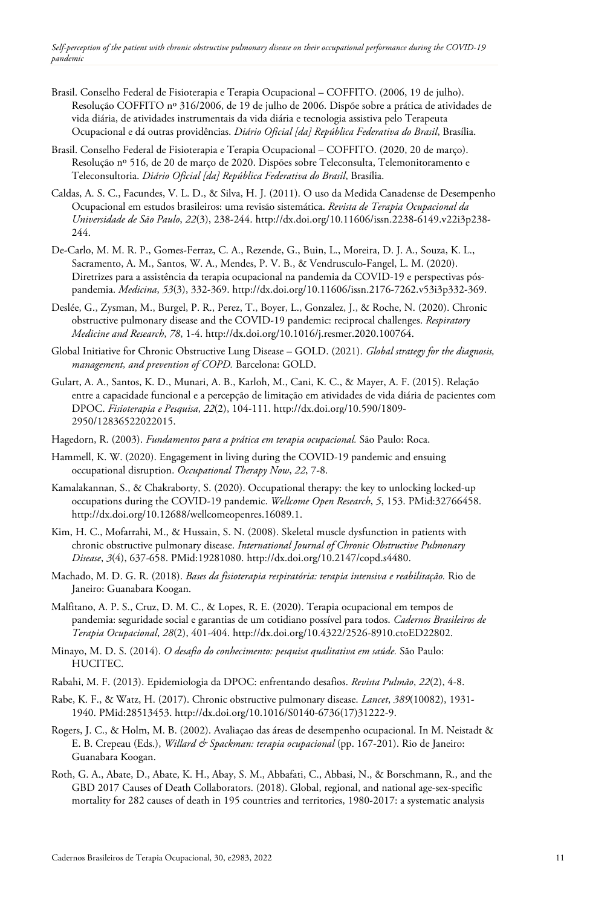- Brasil. Conselho Federal de Fisioterapia e Terapia Ocupacional COFFITO. (2006, 19 de julho). Resolução COFFITO nº 316/2006, de 19 de julho de 2006. Dispõe sobre a prática de atividades de vida diária, de atividades instrumentais da vida diária e tecnologia assistiva pelo Terapeuta Ocupacional e dá outras providências. *Diário Oficial [da] República Federativa do Brasil*, Brasília.
- Brasil. Conselho Federal de Fisioterapia e Terapia Ocupacional COFFITO. (2020, 20 de março). Resolução nº 516, de 20 de março de 2020. Dispões sobre Teleconsulta, Telemonitoramento e Teleconsultoria. *Diário Oficial [da] República Federativa do Brasil*, Brasília.
- Caldas, A. S. C., Facundes, V. L. D., & Silva, H. J. (2011). O uso da Medida Canadense de Desempenho Ocupacional em estudos brasileiros: uma revisão sistemática. *Revista de Terapia Ocupacional da Universidade de São Paulo*, *22*(3), 238-244[. http://dx.doi.org/10.11606/issn.2238-6149.v22i3p238-](https://doi.org/10.11606/issn.2238-6149.v22i3p238-244) [244.](https://doi.org/10.11606/issn.2238-6149.v22i3p238-244)
- De-Carlo, M. M. R. P., Gomes-Ferraz, C. A., Rezende, G., Buin, L., Moreira, D. J. A., Souza, K. L., Sacramento, A. M., Santos, W. A., Mendes, P. V. B., & Vendrusculo-Fangel, L. M. (2020). Diretrizes para a assistência da terapia ocupacional na pandemia da COVID-19 e perspectivas póspandemia. *Medicina*, *53*(3), 332-369. http://dx.doi.org/10.11606/issn.2176-7262.v53i3p332-369.
- Deslée, G., Zysman, M., Burgel, P. R., Perez, T., Boyer, L., Gonzalez, J., & Roche, N. (2020). Chronic obstructive pulmonary disease and the COVID-19 pandemic: reciprocal challenges. *Respiratory Medicine and Research*, *78*, 1-4. [http://dx.doi.org/10.1016/j.resmer.2020.100764.](https://doi.org/10.1016/j.resmer.2020.100764)
- Global Initiative for Chronic Obstructive Lung Disease GOLD. (2021). *Global strategy for the diagnosis, management, and prevention of COPD.* Barcelona: GOLD.
- Gulart, A. A., Santos, K. D., Munari, A. B., Karloh, M., Cani, K. C., & Mayer, A. F. (2015). Relação entre a capacidade funcional e a percepção de limitação em atividades de vida diária de pacientes com DPOC. *Fisioterapia e Pesquisa*, *22*(2), 104-111. http://dx.doi.org/10.590/1809- 2950/12836522022015.
- Hagedorn, R. (2003). *Fundamentos para a prática em terapia ocupacional.* São Paulo: Roca.
- Hammell, K. W. (2020). Engagement in living during the COVID-19 pandemic and ensuing occupational disruption. *Occupational Therapy Now*, *22*, 7-8.
- Kamalakannan, S., & Chakraborty, S. (2020). Occupational therapy: the key to unlocking locked-up occupations during the COVID-19 pandemic. *Wellcome Open Research*, *5*, 153. [PMid:32766458.](https://www.ncbi.nlm.nih.gov/entrez/query.fcgi?cmd=Retrieve&db=PubMed&list_uids=32766458&dopt=Abstract) [http://dx.doi.org/10.12688/wellcomeopenres.16089.1.](https://doi.org/10.12688/wellcomeopenres.16089.1)
- Kim, H. C., Mofarrahi, M., & Hussain, S. N. (2008). Skeletal muscle dysfunction in patients with chronic obstructive pulmonary disease. *International Journal of Chronic Obstructive Pulmonary Disease*, *3*(4), 637-658. [PMid:19281080.](https://www.ncbi.nlm.nih.gov/entrez/query.fcgi?cmd=Retrieve&db=PubMed&list_uids=19281080&dopt=Abstract) http://dx.doi.org/10.2147/copd.s4480.
- Machado, M. D. G. R. (2018). *Bases da fisioterapia respiratória: terapia intensiva e reabilitação.* Rio de Janeiro: Guanabara Koogan.
- Malfitano, A. P. S., Cruz, D. M. C., & Lopes, R. E. (2020). Terapia ocupacional em tempos de pandemia: seguridade social e garantias de um cotidiano possível para todos. *Cadernos Brasileiros de Terapia Ocupacional*, *28*(2), 401-404. [http://dx.doi.org/10.4322/2526-8910.ctoED22802.](https://doi.org/10.4322/2526-8910.ctoED22802)
- Minayo, M. D. S. (2014). *O desafio do conhecimento: pesquisa qualitativa em saúde.* São Paulo: HUCITEC.
- Rabahi, M. F. (2013). Epidemiologia da DPOC: enfrentando desafios. *Revista Pulmão*, *22*(2), 4-8.
- Rabe, K. F., & Watz, H. (2017). Chronic obstructive pulmonary disease. *Lancet*, *389*(10082), 1931- 1940. [PMid:28513453.](https://www.ncbi.nlm.nih.gov/entrez/query.fcgi?cmd=Retrieve&db=PubMed&list_uids=28513453&dopt=Abstract) [http://dx.doi.org/10.1016/S0140-6736\(17\)31222-9.](https://doi.org/10.1016/S0140-6736(17)31222-9)
- Rogers, J. C., & Holm, M. B. (2002). Avaliaçao das áreas de desempenho ocupacional. In M. Neistadt & E. B. Crepeau (Eds.), *Willard & Spackman: terapia ocupacional* (pp. 167-201). Rio de Janeiro: Guanabara Koogan.
- Roth, G. A., Abate, D., Abate, K. H., Abay, S. M., Abbafati, C., Abbasi, N., & Borschmann, R., and the GBD 2017 Causes of Death Collaborators. (2018). Global, regional, and national age-sex-specific mortality for 282 causes of death in 195 countries and territories, 1980-2017: a systematic analysis